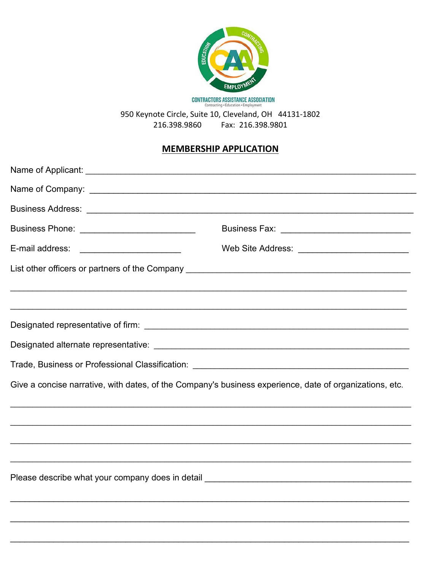

**CONTRACTORS ASSISTANCE ASSOCIATION**<br>Contracting · Education · Employment

950 Keynote Circle, Suite 10, Cleveland, OH 44131-1802 216.398.9860 Fax: 216.398.9801

## **MEMBERSHIP APPLICATION**

| Business Phone: ____________________________                                                            |  |  |
|---------------------------------------------------------------------------------------------------------|--|--|
|                                                                                                         |  |  |
|                                                                                                         |  |  |
|                                                                                                         |  |  |
|                                                                                                         |  |  |
|                                                                                                         |  |  |
|                                                                                                         |  |  |
|                                                                                                         |  |  |
| Give a concise narrative, with dates, of the Company's business experience, date of organizations, etc. |  |  |
|                                                                                                         |  |  |
|                                                                                                         |  |  |
|                                                                                                         |  |  |
|                                                                                                         |  |  |
|                                                                                                         |  |  |
|                                                                                                         |  |  |
|                                                                                                         |  |  |
|                                                                                                         |  |  |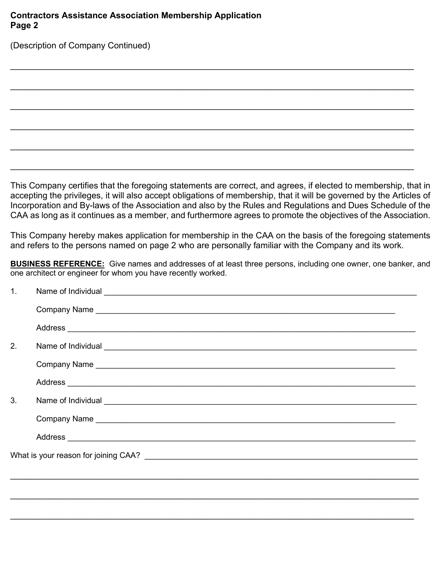## **Contractors Assistance Association Membership Application Page 2**

(Description of Company Continued)

This Company certifies that the foregoing statements are correct, and agrees, if elected to membership, that in accepting the privileges, it will also accept obligations of membership, that it will be governed by the Articles of Incorporation and By-laws of the Association and also by the Rules and Regulations and Dues Schedule of the CAA as long as it continues as a member, and furthermore agrees to promote the objectives of the Association.

\_\_\_\_\_\_\_\_\_\_\_\_\_\_\_\_\_\_\_\_\_\_\_\_\_\_\_\_\_\_\_\_\_\_\_\_\_\_\_\_\_\_\_\_\_\_\_\_\_\_\_\_\_\_\_\_\_\_\_\_\_\_\_\_\_\_\_\_\_\_\_\_\_\_\_\_\_\_\_\_\_\_\_\_

\_\_\_\_\_\_\_\_\_\_\_\_\_\_\_\_\_\_\_\_\_\_\_\_\_\_\_\_\_\_\_\_\_\_\_\_\_\_\_\_\_\_\_\_\_\_\_\_\_\_\_\_\_\_\_\_\_\_\_\_\_\_\_\_\_\_\_\_\_\_\_\_\_\_\_\_\_\_\_\_\_\_\_\_

\_\_\_\_\_\_\_\_\_\_\_\_\_\_\_\_\_\_\_\_\_\_\_\_\_\_\_\_\_\_\_\_\_\_\_\_\_\_\_\_\_\_\_\_\_\_\_\_\_\_\_\_\_\_\_\_\_\_\_\_\_\_\_\_\_\_\_\_\_\_\_\_\_\_\_\_\_\_\_\_\_\_\_\_

\_\_\_\_\_\_\_\_\_\_\_\_\_\_\_\_\_\_\_\_\_\_\_\_\_\_\_\_\_\_\_\_\_\_\_\_\_\_\_\_\_\_\_\_\_\_\_\_\_\_\_\_\_\_\_\_\_\_\_\_\_\_\_\_\_\_\_\_\_\_\_\_\_\_\_\_\_\_\_\_\_\_\_\_

\_\_\_\_\_\_\_\_\_\_\_\_\_\_\_\_\_\_\_\_\_\_\_\_\_\_\_\_\_\_\_\_\_\_\_\_\_\_\_\_\_\_\_\_\_\_\_\_\_\_\_\_\_\_\_\_\_\_\_\_\_\_\_\_\_\_\_\_\_\_\_\_\_\_\_\_\_\_\_\_\_\_\_\_

\_\_\_\_\_\_\_\_\_\_\_\_\_\_\_\_\_\_\_\_\_\_\_\_\_\_\_\_\_\_\_\_\_\_\_\_\_\_\_\_\_\_\_\_\_\_\_\_\_\_\_\_\_\_\_\_\_\_\_\_\_\_\_\_\_\_\_\_\_\_\_\_\_\_\_\_\_\_\_\_\_\_\_\_

This Company hereby makes application for membership in the CAA on the basis of the foregoing statements and refers to the persons named on page 2 who are personally familiar with the Company and its work.

**BUSINESS REFERENCE:** Give names and addresses of at least three persons, including one owner, one banker, and one architect or engineer for whom you have recently worked.

| $\mathbf{1}$ . | Name of Individual experience of Individual experience of Individual experience of Individual experience of $\sim$                                                                                                            |
|----------------|-------------------------------------------------------------------------------------------------------------------------------------------------------------------------------------------------------------------------------|
|                |                                                                                                                                                                                                                               |
|                |                                                                                                                                                                                                                               |
| 2.             |                                                                                                                                                                                                                               |
|                |                                                                                                                                                                                                                               |
|                |                                                                                                                                                                                                                               |
| 3.             | Name of Individual experiments and the set of the set of the set of the set of the set of the set of the set of the set of the set of the set of the set of the set of the set of the set of the set of the set of the set of |
|                |                                                                                                                                                                                                                               |
|                |                                                                                                                                                                                                                               |
|                |                                                                                                                                                                                                                               |
|                |                                                                                                                                                                                                                               |
|                |                                                                                                                                                                                                                               |
|                |                                                                                                                                                                                                                               |
|                |                                                                                                                                                                                                                               |